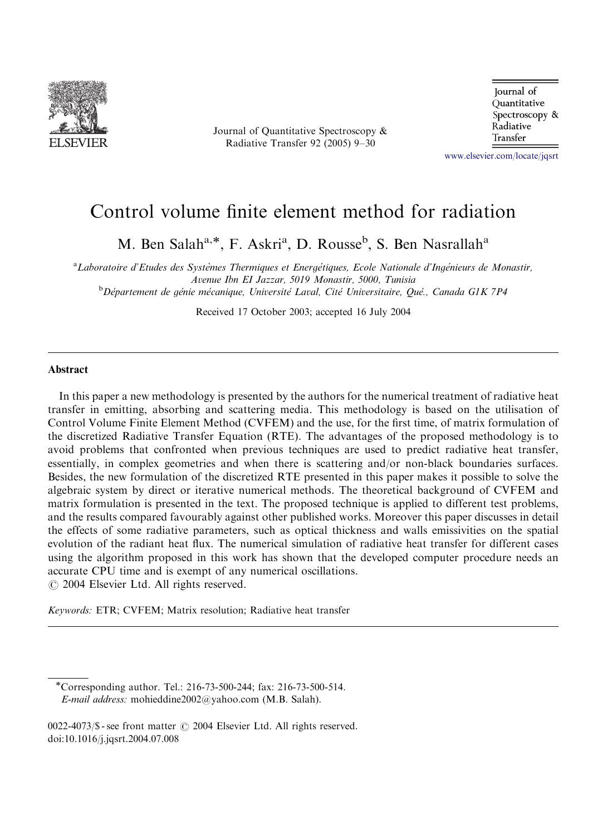

Journal of Quantitative Spectroscopy & Radiative Transfer 92 (2005) 9–30

Journal of Quantitative Spectroscopy & Radiative Transfer

<www.elsevier.com/locate/jqsrt>

# Control volume finite element method for radiation

M. Ben Salah<sup>a,\*</sup>, F. Askri<sup>a</sup>, D. Rousse<sup>b</sup>, S. Ben Nasrallah<sup>a</sup>

<sup>a</sup>Laboratoire d'Etudes des Systèmes Thermiques et Energétiques, Ecole Nationale d'Ingénieurs de Monastir, Avenue Ibn EI Jazzar, 5019 Monastir, 5000, Tunisia<br><sup>b</sup>Département de génie mécanique, Université Laval, Cité Universitaire, Qué., Canada G1K 7P4

Received 17 October 2003; accepted 16 July 2004

## Abstract

In this paper a new methodology is presented by the authors for the numerical treatment of radiative heat transfer in emitting, absorbing and scattering media. This methodology is based on the utilisation of Control Volume Finite Element Method (CVFEM) and the use, for the first time, of matrix formulation of the discretized Radiative Transfer Equation (RTE). The advantages of the proposed methodology is to avoid problems that confronted when previous techniques are used to predict radiative heat transfer, essentially, in complex geometries and when there is scattering and/or non-black boundaries surfaces. Besides, the new formulation of the discretized RTE presented in this paper makes it possible to solve the algebraic system by direct or iterative numerical methods. The theoretical background of CVFEM and matrix formulation is presented in the text. The proposed technique is applied to different test problems, and the results compared favourably against other published works. Moreover this paper discusses in detail the effects of some radiative parameters, such as optical thickness and walls emissivities on the spatial evolution of the radiant heat flux. The numerical simulation of radiative heat transfer for different cases using the algorithm proposed in this work has shown that the developed computer procedure needs an accurate CPU time and is exempt of any numerical oscillations.  $\odot$  2004 Elsevier Ltd. All rights reserved.

Keywords: ETR; CVFEM; Matrix resolution; Radiative heat transfer

Corresponding author. Tel.: 216-73-500-244; fax: 216-73-500-514. E-mail address: mohieddine2002@yahoo.com (M.B. Salah).

 $0022-4073$ /\$ - see front matter  $\odot$  2004 Elsevier Ltd. All rights reserved. doi:10.1016/j.jqsrt.2004.07.008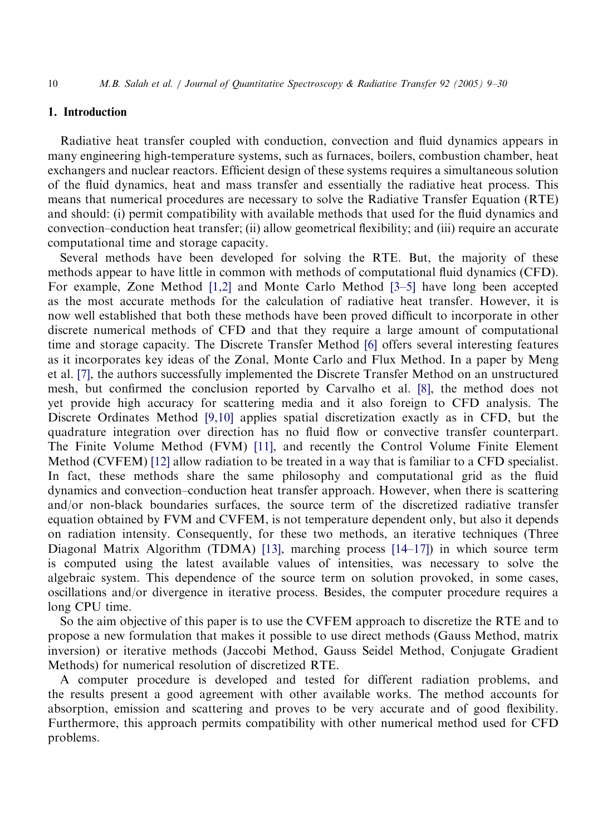#### 1. Introduction

Radiative heat transfer coupled with conduction, convection and fluid dynamics appears in many engineering high-temperature systems, such as furnaces, boilers, combustion chamber, heat exchangers and nuclear reactors. Efficient design of these systems requires a simultaneous solution of the fluid dynamics, heat and mass transfer and essentially the radiative heat process. This means that numerical procedures are necessary to solve the Radiative Transfer Equation (RTE) and should: (i) permit compatibility with available methods that used for the fluid dynamics and convection–conduction heat transfer; (ii) allow geometrical flexibility; and (iii) require an accurate computational time and storage capacity.

Several methods have been developed for solving the RTE. But, the majority of these methods appear to have little in common with methods of computational fluid dynamics (CFD). For example, Zone Method [\[1,2\]](#page-20-0) and Monte Carlo Method [\[3–5\]](#page-20-0) have long been accepted as the most accurate methods for the calculation of radiative heat transfer. However, it is now well established that both these methods have been proved difficult to incorporate in other discrete numerical methods of CFD and that they require a large amount of computational time and storage capacity. The Discrete Transfer Method [\[6\]](#page-20-0) offers several interesting features as it incorporates key ideas of the Zonal, Monte Carlo and Flux Method. In a paper by Meng et al. [\[7\]](#page-20-0), the authors successfully implemented the Discrete Transfer Method on an unstructured mesh, but confirmed the conclusion reported by Carvalho et al. [\[8\],](#page-20-0) the method does not yet provide high accuracy for scattering media and it also foreign to CFD analysis. The Discrete Ordinates Method [\[9,10\]](#page-20-0) applies spatial discretization exactly as in CFD, but the quadrature integration over direction has no fluid flow or convective transfer counterpart. The Finite Volume Method (FVM) [\[11\],](#page-20-0) and recently the Control Volume Finite Element Method (CVFEM) [\[12\]](#page-20-0) allow radiation to be treated in a way that is familiar to a CFD specialist. In fact, these methods share the same philosophy and computational grid as the fluid dynamics and convection–conduction heat transfer approach. However, when there is scattering and/or non-black boundaries surfaces, the source termof the discretized radiative transfer equation obtained by FVM and CVFEM, is not temperature dependent only, but also it depends on radiation intensity. Consequently, for these two methods, an iterative techniques (Three Diagonal Matrix Algorithm (TDMA) [\[13\]](#page-20-0), marching process  $[14–17]$ ) in which source term is computed using the latest available values of intensities, was necessary to solve the algebraic system. This dependence of the source term on solution provoked, in some cases, oscillations and/or divergence in iterative process. Besides, the computer procedure requires a long CPU time.

So the aimobjective of this paper is to use the CVFEM approach to discretize the RTE and to propose a new formulation that makes it possible to use direct methods (Gauss Method, matrix inversion) or iterative methods (Jaccobi Method, Gauss Seidel Method, Conjugate Gradient Methods) for numerical resolution of discretized RTE.

A computer procedure is developed and tested for different radiation problems, and the results present a good agreement with other available works. The method accounts for absorption, emission and scattering and proves to be very accurate and of good flexibility. Furthermore, this approach permits compatibility with other numerical method used for CFD problems.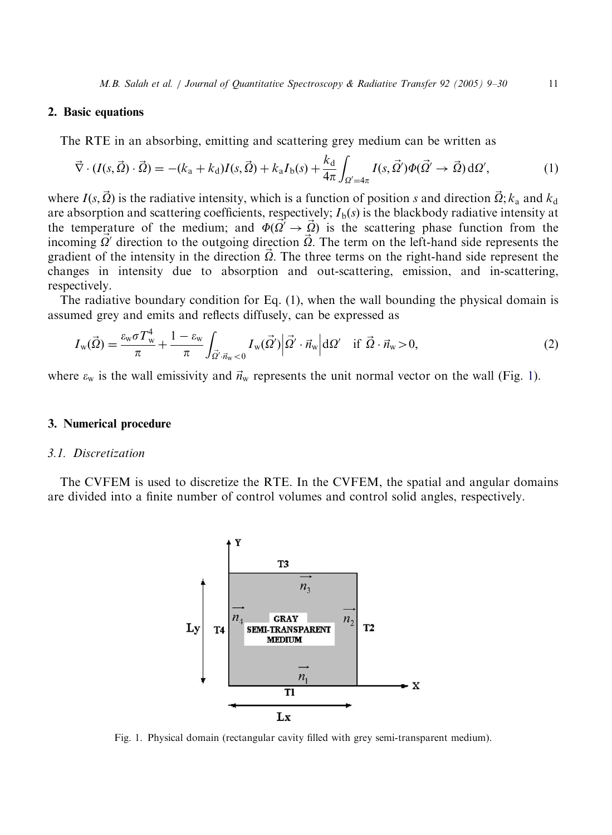#### <span id="page-2-0"></span>2. Basic equations

The RTE in an absorbing, emitting and scattering grey medium can be written as

$$
\vec{\nabla} \cdot (I(s, \vec{\Omega}) \cdot \vec{\Omega}) = -(k_a + k_d)I(s, \vec{\Omega}) + k_a I_b(s) + \frac{k_d}{4\pi} \int_{\Omega' = 4\pi} I(s, \vec{\Omega}') \Phi(\vec{\Omega}' \to \vec{\Omega}) d\Omega',\tag{1}
$$

where  $I(s, \vec{\Omega})$  is the radiative intensity, which is a function of position s and direction  $\vec{\Omega}$ ;  $k_a$  and  $k_d$ are absorption and scattering coefficients, respectively;  $I<sub>b</sub>(s)$  is the blackbody radiative intensity at the temperature of the medium; and  $\Phi(\vec{Q'} \rightarrow \vec{Q})$  is the scattering phase function from the incoming  $\vec{Q}^{\prime}$  direction to the outgoing direction  $\vec{Q}$ . The term on the left-hand side represents the gradient of the intensity in the direction  $\vec{\Omega}$ . The three terms on the right-hand side represent the changes in intensity due to absorption and out-scattering, emission, and in-scattering, respectively.

The radiative boundary condition for Eq. (1), when the wall bounding the physical domain is assumed grey and emits and reflects diffusely, can be expressed as

$$
I_{\mathbf{w}}(\vec{\Omega}) = \frac{\varepsilon_{\mathbf{w}} \sigma T_{\mathbf{w}}^4}{\pi} + \frac{1 - \varepsilon_{\mathbf{w}}}{\pi} \int_{\vec{\Omega}' \cdot \vec{n}_{\mathbf{w}} < 0} I_{\mathbf{w}}(\vec{\Omega}') \Big| \vec{\Omega}' \cdot \vec{n}_{\mathbf{w}} \Big| d\Omega' \quad \text{if } \vec{\Omega} \cdot \vec{n}_{\mathbf{w}} > 0,\tag{2}
$$

where  $\varepsilon_w$  is the wall emissivity and  $\vec{n}_w$  represents the unit normal vector on the wall (Fig. 1).

## 3. Numerical procedure

## 3.1. Discretization

The CVFEM is used to discretize the RTE. In the CVFEM, the spatial and angular domains are divided into a finite number of control volumes and control solid angles, respectively.



Fig. 1. Physical domain (rectangular cavity filled with grey semi-transparent medium).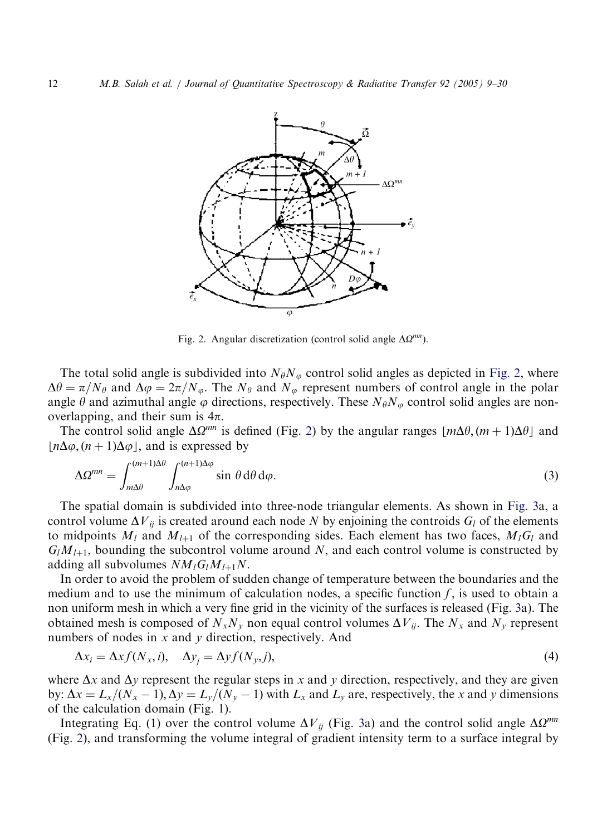

Fig. 2. Angular discretization (control solid angle  $\Delta \Omega^{mn}$ ).

The total solid angle is subdivided into  $N_{\theta}N_{\varphi}$  control solid angles as depicted in Fig. 2, where  $\Delta\theta = \pi/N_\theta$  and  $\Delta\varphi = 2\pi/N_\varphi$ . The  $N_\theta$  and  $N_\varphi$  represent numbers of control angle in the polar angle  $\theta$  and azimuthal angle  $\varphi$  directions, respectively. These  $N_{\theta}N_{\varphi}$  control solid angles are nonoverlapping, and their sum is  $4\pi$ .

The control solid angle  $\Delta \Omega^{mn}$  is defined (Fig. 2) by the angular ranges  $|m\Delta\theta$ ,  $(m + 1)\Delta\theta|$  and  $|n\Delta\varphi,(n+1)\Delta\varphi|$ , and is expressed by

$$
\Delta \Omega^{mn} = \int_{m\Delta\theta}^{(m+1)\Delta\theta} \int_{n\Delta\varphi}^{(n+1)\Delta\varphi} \sin\,\theta \,\mathrm{d}\theta \,\mathrm{d}\varphi. \tag{3}
$$

The spatial domain is subdivided into three-node triangular elements. As shown in [Fig. 3](#page-4-0)a, a control volume  $\Delta V_{ii}$  is created around each node N by enjoining the controids  $G_l$  of the elements to midpoints  $M_l$  and  $M_{l+1}$  of the corresponding sides. Each element has two faces,  $M_lG_l$  and  $G_l M_{l+1}$ , bounding the subcontrol volume around N, and each control volume is constructed by adding all subvolumes  $NM_{l}G_{l}M_{l+1}N$ .

In order to avoid the problem of sudden change of temperature between the boundaries and the medium and to use the minimum of calculation nodes, a specific function  $f$ , is used to obtain a non uniformmesh in which a very fine grid in the vicinity of the surfaces is released (Fig. [3a](#page-4-0)). The obtained mesh is composed of  $N_xN_y$  non equal control volumes  $\Delta V_{ij}$ . The  $N_x$  and  $N_y$  represent numbers of nodes in  $x$  and  $y$  direction, respectively. And

$$
\Delta x_i = \Delta x f(N_x, i), \quad \Delta y_j = \Delta y f(N_y, j), \tag{4}
$$

where  $\Delta x$  and  $\Delta y$  represent the regular steps in x and y direction, respectively, and they are given by:  $\Delta x = L_x/(N_x - 1), \Delta y = L_y/(N_y - 1)$  with  $L_x$  and  $L_y$  are, respectively, the x and y dimensions of the calculation domain (Fig. [1\)](#page-2-0).

Integrating Eq. (1) over the control volume  $\Delta V_{ij}$  (Fig. [3](#page-4-0)a) and the control solid angle  $\Delta \Omega^{mn}$ (Fig. 2), and transforming the volume integral of gradient intensity term to a surface integral by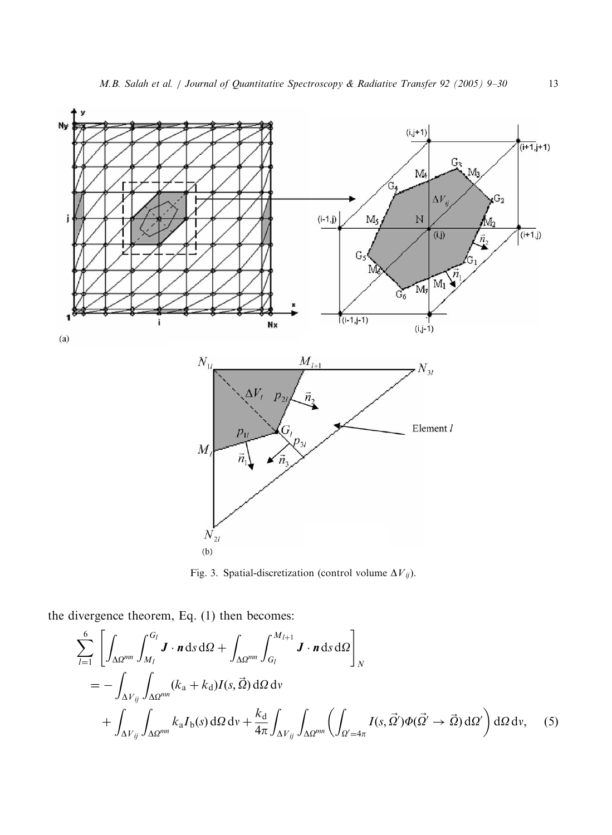<span id="page-4-0"></span>

Fig. 3. Spatial-discretization (control volume  $\Delta V_{ij}$ ).

the divergence theorem, Eq. (1) then becomes:

$$
\sum_{l=1}^{6} \left[ \int_{\Delta \Omega^{mn}} \int_{M_{l}}^{G_{l}} \mathbf{J} \cdot \mathbf{n} \, d\mathbf{s} \, d\Omega + \int_{\Delta \Omega^{mn}} \int_{G_{l}}^{M_{l+1}} \mathbf{J} \cdot \mathbf{n} \, d\mathbf{s} \, d\Omega \right]_{N}
$$
\n
$$
= - \int_{\Delta V_{ij}} \int_{\Delta \Omega^{mn}} (k_{\mathbf{a}} + k_{\mathbf{d}}) I(s, \vec{\Omega}) \, d\Omega \, d\mathbf{v} + \int_{\Delta V_{ij}} \int_{\Delta \Omega^{mn}} k_{\mathbf{a}} I_{\mathbf{b}}(s) \, d\Omega \, d\mathbf{v} + \frac{k_{\mathbf{d}}}{4\pi} \int_{\Delta V_{ij}} \int_{\Delta \Omega^{mn}} \left( \int_{\Omega' = 4\pi} I(s, \vec{\Omega}') \Phi(\vec{\Omega}' \to \vec{\Omega}) \, d\Omega' \right) d\Omega \, d\mathbf{v}, \tag{5}
$$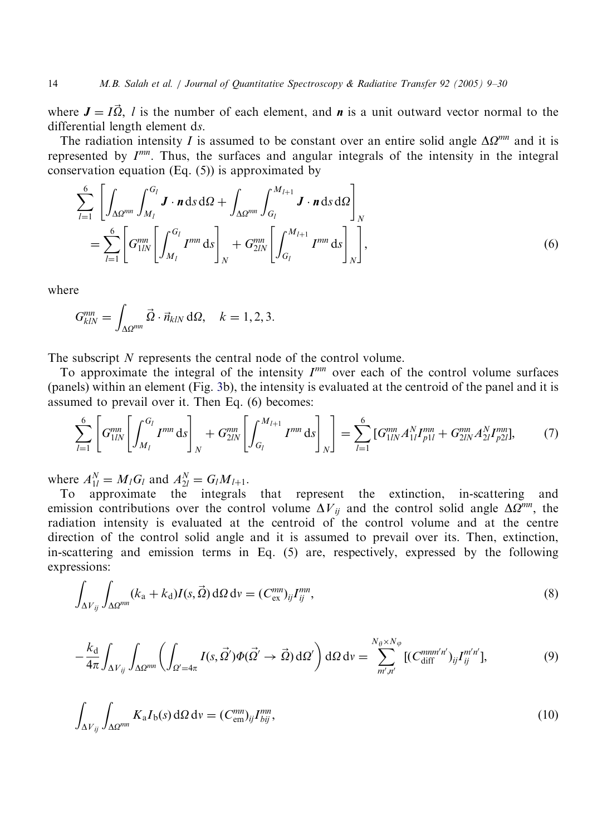where  $J = I\vec{\Omega}$ , l is the number of each element, and **n** is a unit outward vector normal to the differential length element ds.

The radiation intensity I is assumed to be constant over an entire solid angle  $\Delta \Omega^{mn}$  and it is represented by  $I^{mn}$ . Thus, the surfaces and angular integrals of the intensity in the integral conservation equation (Eq. (5)) is approximated by

$$
\sum_{l=1}^{6} \left[ \int_{\Delta\Omega^{mn}} \int_{M_{l}}^{G_{l}} \mathbf{J} \cdot \mathbf{n} \, \mathrm{d}s \, \mathrm{d}\Omega + \int_{\Delta\Omega^{mn}} \int_{G_{l}}^{M_{l+1}} \mathbf{J} \cdot \mathbf{n} \, \mathrm{d}s \, \mathrm{d}\Omega \right]_{N}
$$
\n
$$
= \sum_{l=1}^{6} \left[ G_{1lN}^{mn} \left[ \int_{M_{l}}^{G_{l}} I^{mn} \, \mathrm{d}s \right]_{N} + G_{2lN}^{mn} \left[ \int_{G_{l}}^{M_{l+1}} I^{mn} \, \mathrm{d}s \right]_{N} \right], \tag{6}
$$

where

$$
G_{klN}^{mn} = \int_{\Delta \Omega^{mn}} \vec{\Omega} \cdot \vec{n}_{klN} \, d\Omega, \quad k = 1, 2, 3.
$$

The subscript N represents the central node of the control volume.

To approximate the integral of the intensity  $I^{mn}$  over each of the control volume surfaces (panels) within an element (Fig. [3](#page-4-0)b), the intensity is evaluated at the centroid of the panel and it is assumed to prevail over it. Then Eq. (6) becomes:

$$
\sum_{l=1}^{6} \left[ G_{1lN}^{mn} \left[ \int_{M_l}^{G_l} I^{mn} \, \mathrm{d} s \right]_N + G_{2lN}^{mn} \left[ \int_{G_l}^{M_{l+1}} I^{mn} \, \mathrm{d} s \right]_N \right] = \sum_{l=1}^{6} \left[ G_{1lN}^{mn} A_{1l}^N I_{p1l}^{mn} + G_{2lN}^{mn} A_{2l}^N I_{p2l}^{mn} \right],\tag{7}
$$

where  $A_{1l}^N = M_l G_l$  and  $A_{2l}^N = G_l M_{l+1}$ .

To approximate the integrals that represent the extinction, in-scattering and emission contributions over the control volume  $\Delta V_{ij}$  and the control solid angle  $\Delta Q^{mn}$ , the radiation intensity is evaluated at the centroid of the control volume and at the centre direction of the control solid angle and it is assumed to prevail over its. Then, extinction, in-scattering and emission terms in Eq. (5) are, respectively, expressed by the following expressions:

$$
\int_{\Delta V_{ij}} \int_{\Delta \Omega^{mn}} (k_a + k_d) I(s, \vec{\Omega}) d\Omega dv = (C^{mn}_{\text{ex}})_{ij} I^{mn}_{ij},
$$
\n(8)

$$
-\frac{k_{\rm d}}{4\pi} \int_{\Delta V_{ij}} \int_{\Delta \Omega^{mn}} \left( \int_{\Omega' = 4\pi} I(s, \vec{\Omega}') \Phi(\vec{\Omega}' \to \vec{\Omega}) \, d\Omega' \right) d\Omega \, dv = \sum_{m', n'}^{N_{\theta} \times N_{\phi}} [ (C_{\rm diff}^{mm'n'})_{ij} I_{ij}^{m'n'} ], \tag{9}
$$

$$
\int_{\Delta V_{ij}} \int_{\Delta \Omega^{mn}} K_{\rm a} I_{\rm b}(s) \, \mathrm{d}\Omega \, \mathrm{d}v = (C_{\rm em}^{mn})_{ij} I_{bij}^{mn},\tag{10}
$$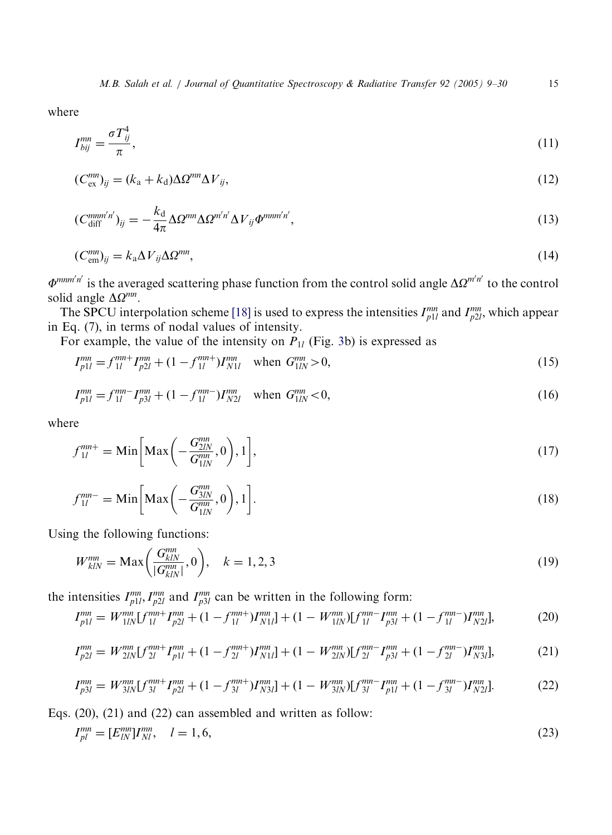where

$$
I_{bij}^{mn} = \frac{\sigma T_{ij}^4}{\pi},\tag{11}
$$

$$
(C_{\text{ex}}^{mn})_{ij} = (k_a + k_d) \Delta \Omega^{mn} \Delta V_{ij},\tag{12}
$$

$$
(C_{\text{diff}}^{mnn'n'})_{ij} = -\frac{k_{\text{d}}}{4\pi} \Delta \Omega^{mn} \Delta \Omega^{m'n'} \Delta V_{ij} \Phi^{mnm'n'},\tag{13}
$$

$$
(C_{\text{em}}^{mn})_{ij} = k_a \Delta V_{ij} \Delta \Omega^{mn},\tag{14}
$$

 $\Phi^{mnm'n'}$  is the averaged scattering phase function from the control solid angle  $\Delta \Omega^{m'n'}$  to the control solid angle  $\Delta \Omega^{mn}$ .

The SPCU interpolation scheme [\[18\]](#page-21-0) is used to express the intensities  $I_{p1l}^{mn}$  and  $I_{p2l}^{mn}$ , which appear in Eq. (7), in terms of nodal values of intensity.

For example, the value of the intensity on  $P_{1l}$  (Fig. [3](#page-4-0)b) is expressed as

$$
I_{p1l}^{mn} = f_{1l}^{mn+} I_{p2l}^{mn} + (1 - f_{1l}^{mn+}) I_{N1l}^{mn} \text{ when } G_{1lN}^{mn} > 0,
$$
\n(15)

$$
I_{p1l}^{mn} = f_{1l}^{mn} - I_{p3l}^{mn} + (1 - f_{1l}^{mn})I_{N2l}^{mn} \text{ when } G_{1l}^{mn} < 0,
$$
\n(16)

where

$$
f_{1l}^{mn+} = \text{Min}\bigg[\text{Max}\bigg(-\frac{G_{2lN}^{mn}}{G_{1lN}^{mn}}, 0\bigg), 1\bigg],\tag{17}
$$

$$
f_{1l}^{mn-} = \text{Min}\bigg[\text{Max}\bigg(-\frac{G_{3lN}^{mn}}{G_{1lN}^{mn}}, 0\bigg), 1\bigg].\tag{18}
$$

Using the following functions:

$$
W_{klN}^{mn} = \text{Max}\left(\frac{G_{klN}^{mn}}{|G_{klN}^{mn}|}, 0\right), \quad k = 1, 2, 3
$$
\n(19)

the intensities  $I_{p1l}^{mn}, I_{p2l}^{mn}$  and  $I_{p3l}^{mn}$  can be written in the following form:

$$
I_{p1l}^{mn} = W_{1lN}^{mn} [f_{1l}^{mn+} I_{p2l}^{mn} + (1 - f_{1l}^{mn+}) I_{N1l}^{mn}] + (1 - W_{1lN}^{mn}) [f_{1l}^{mn-} I_{p3l}^{mn} + (1 - f_{1l}^{mn-}) I_{N2l}^{mn}], \tag{20}
$$

$$
I_{p2l}^{mn} = W_{2lN}^{mn} [f_{2l}^{mn+} I_{p1l}^{mn} + (1 - f_{2l}^{mn+}) I_{N1l}^{mn}] + (1 - W_{2lN}^{mn}) [f_{2l}^{mn-} I_{p3l}^{mn} + (1 - f_{2l}^{mn-}) I_{N3l}^{mn}], \tag{21}
$$

$$
I_{p3l}^{mn} = W_{3lN}^{mn} [f_{3l}^{mn+} I_{p2l}^{mn} + (1 - f_{3l}^{mn+}) I_{N3l}^{mn}] + (1 - W_{3lN}^{mn}) [f_{3l}^{mn-} I_{p1l}^{mn} + (1 - f_{3l}^{mn-}) I_{N2l}^{mn}].
$$
 (22)

Eqs. (20), (21) and (22) can assembled and written as follow:

$$
I_{pl}^{mn} = [E_{lN}^{mn}]I_{Nl}^{mn}, \quad l = 1, 6,
$$
\n(23)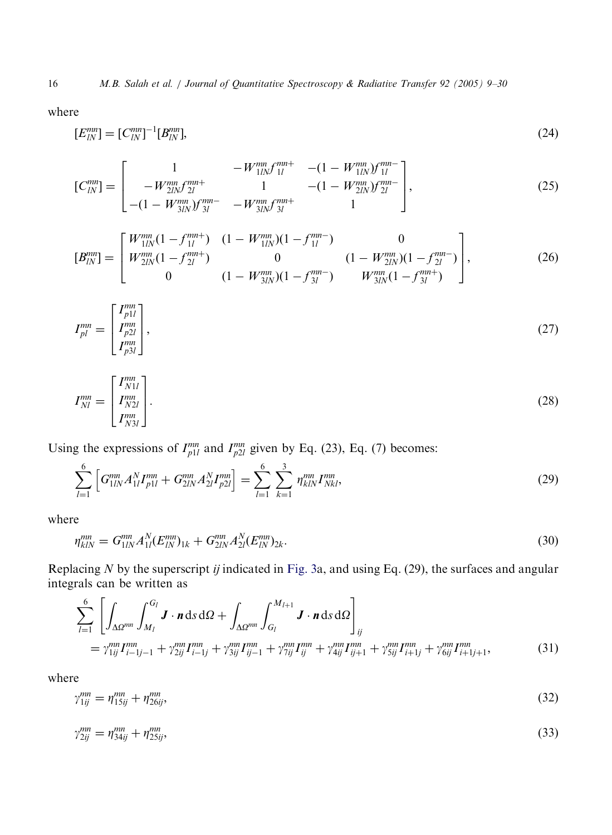where

$$
[E_{lN}^{mn}] = [C_{lN}^{mn}]^{-1} [B_{lN}^{mn}], \tag{24}
$$

$$
[C_{IN}^{mn}] = \begin{bmatrix} 1 & -W_{1IN}^{mn} f_{1l}^{mn+} & -(1 - W_{1IN}^{mn}) f_{1l}^{mn-} \\ -W_{2IN}^{mn} f_{2l}^{mn+} & 1 & -(1 - W_{2IN}^{mn}) f_{2l}^{mn-} \\ -(1 - W_{3IN}^{mn}) f_{3l}^{mn-} & -W_{3IN}^{mn} f_{3l}^{mn+} & 1 \end{bmatrix},
$$
(25)

$$
[B_{lN}^{mn}] = \begin{bmatrix} W_{1lN}^{mn}(1 - f_{1l}^{mn}) & (1 - W_{1lN}^{mn})(1 - f_{1l}^{mn}) & 0 \\ W_{2lN}^{mn}(1 - f_{2l}^{mn}) & 0 & (1 - W_{2lN}^{mn})(1 - f_{2l}^{mn}) \\ 0 & (1 - W_{3lN}^{mn})(1 - f_{3l}^{mn}) & W_{3lN}^{mn}(1 - f_{3l}^{mn}) \end{bmatrix},
$$
(26)

$$
I_{pl}^{mn} = \begin{bmatrix} I_{p1l}^{mn} \\ I_{p2l}^{mn} \\ I_{p3l}^{mn} \end{bmatrix},\tag{27}
$$

$$
I_{Nl}^{mn} = \begin{bmatrix} I_{N1l}^{mn} \\ I_{N2l}^{mn} \\ I_{N3l}^{mn} \end{bmatrix} . \tag{28}
$$

Using the expressions of  $I_{p1l}^{mn}$  and  $I_{p2l}^{mn}$  given by Eq. (23), Eq. (7) becomes:

$$
\sum_{l=1}^{6} \left[ G_{1lN}^{mn} A_{1l}^{N} I_{p1l}^{mn} + G_{2lN}^{mn} A_{2l}^{N} I_{p2l}^{mn} \right] = \sum_{l=1}^{6} \sum_{k=1}^{3} \eta_{klN}^{mn} I_{Nkl}^{mn}, \tag{29}
$$

where

$$
\eta_{klN}^{mn} = G_{1lN}^{mn} A_{1l}^N (E_{lN}^{mn})_{1k} + G_{2lN}^{mn} A_{2l}^N (E_{lN}^{mn})_{2k}.
$$
\n(30)

Replacing  $N$  by the superscript  $ij$  indicated in [Fig. 3a](#page-4-0), and using Eq. (29), the surfaces and angular integrals can be written as

$$
\sum_{l=1}^{6} \left[ \int_{\Delta \Omega^{mn}} \int_{M_{l}}^{G_{l}} \mathbf{J} \cdot \mathbf{n} \, \mathrm{d} s \, \mathrm{d} \Omega + \int_{\Delta \Omega^{mn}} \int_{G_{l}}^{M_{l+1}} \mathbf{J} \cdot \mathbf{n} \, \mathrm{d} s \, \mathrm{d} \Omega \right]_{ij} \n= \gamma_{1ij}^{mn} I_{i-1j-1}^{mn} + \gamma_{2ij}^{mn} I_{i-1j}^{mn} + \gamma_{3ij}^{mn} I_{ij}^{mn} + \gamma_{1ij}^{mn} I_{ij}^{mn} + \gamma_{3ij}^{mn} I_{ij+1}^{mn} + \gamma_{5ij}^{mn} I_{i+1j}^{mn} + \gamma_{6ij}^{mn} I_{i+1j+1}^{mn},
$$
\n(31)

where

$$
\gamma_{1ij}^{mn} = \eta_{15ij}^{mn} + \eta_{26ij}^{mn},\tag{32}
$$

$$
\gamma_{2ij}^{mn} = \eta_{34ij}^{mn} + \eta_{25ij}^{mn},\tag{33}
$$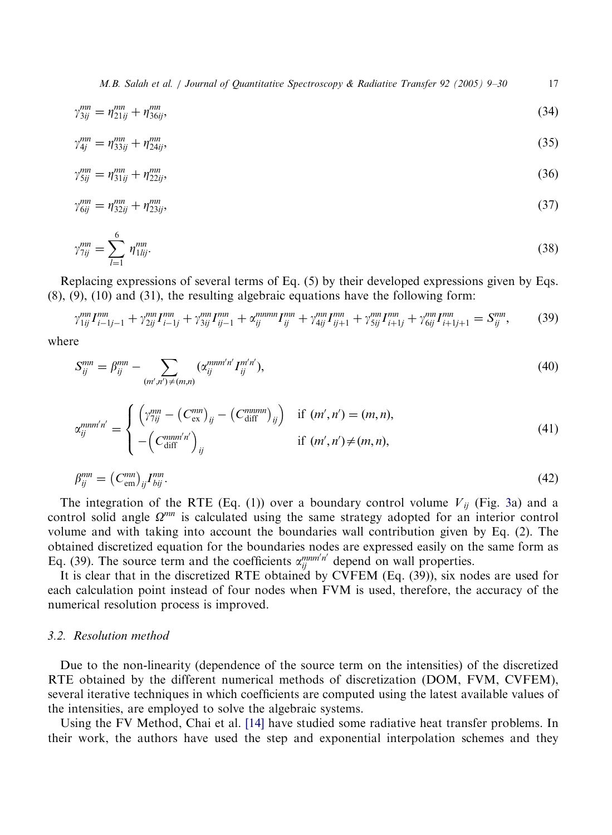M.B. Salah et al. / Journal of Quantitative Spectroscopy & Radiative Transfer 92 (2005) 9–30 17

$$
\gamma_{3ij}^{mn} = \eta_{21ij}^{mn} + \eta_{36ij}^{mn},\tag{34}
$$

$$
\gamma_{4j}^{mn} = \eta_{33ij}^{mn} + \eta_{24ij}^{mn},\tag{35}
$$

$$
\gamma_{5ij}^{mn} = \eta_{31ij}^{mn} + \eta_{22ij}^{mn},\tag{36}
$$

$$
\gamma_{6ij}^{mn} = \eta_{32ij}^{mn} + \eta_{23ij}^{mn},\tag{37}
$$

$$
\gamma_{7ij}^{mn} = \sum_{l=1}^{6} \eta_{1lij}^{mn}.
$$
\n(38)

Replacing expressions of several terms of Eq. (5) by their developed expressions given by Eqs. (8), (9), (10) and (31), the resulting algebraic equations have the following form:

$$
\gamma_{1ij}^{mn} I_{i-1j-1}^{mn} + \gamma_{2ij}^{mn} I_{i-1j}^{mn} + \gamma_{3ij}^{mn} I_{ij-1}^{mn} + \alpha_{ij}^{mnmn} I_{ij}^{mn} + \gamma_{4ij}^{mn} I_{ij+1}^{mn} + \gamma_{5ij}^{mn} I_{i+1j}^{mn} + \gamma_{6ij}^{mn} I_{i+1j+1}^{mn} = S_{ij}^{mn},
$$
(39)

where

$$
S_{ij}^{mn} = \beta_{ij}^{mn} - \sum_{(m',n') \neq (m,n)} (\alpha_{ij}^{mnm'n'} I_{ij}^{m'n'}), \qquad (40)
$$

$$
\alpha_{ij}^{mm'n'} = \begin{cases}\n\left(\gamma_{7ij}^{mn} - \left(C_{\text{ex}}^{mn}\right)_{ij} - \left(C_{\text{diff}}^{mmm}\right)_{ij}\right) & \text{if } (m', n') = (m, n), \\
-\left(C_{\text{diff}}^{mm'n'}\right)_{ij} & \text{if } (m', n') \neq (m, n),\n\end{cases}
$$
\n(41)

$$
\beta_{ij}^{mn} = \left(C_{em}^{mn}\right)_{ij} I_{bij}^{mn}.\tag{42}
$$

The integration of the RTE (Eq. (1)) over a boundary control volume  $V_{ij}$  (Fig. [3](#page-4-0)a) and a control solid angle  $\Omega^{mn}$  is calculated using the same strategy adopted for an interior control volume and with taking into account the boundaries wall contribution given by Eq. (2). The obtained discretized equation for the boundaries nodes are expressed easily on the same form as Eq. (39). The source term and the coefficients  $\alpha_{ij}^{mm'm'}$  depend on wall properties.

It is clear that in the discretized RTE obtained by CVFEM (Eq. (39)), six nodes are used for each calculation point instead of four nodes when FVM is used, therefore, the accuracy of the numerical resolution process is improved.

## 3.2. Resolution method

Due to the non-linearity (dependence of the source termon the intensities) of the discretized RTE obtained by the different numerical methods of discretization (DOM, FVM, CVFEM), several iterative techniques in which coefficients are computed using the latest available values of the intensities, are employed to solve the algebraic systems.

Using the FV Method, Chai et al. [\[14\]](#page-20-0) have studied some radiative heat transfer problems. In their work, the authors have used the step and exponential interpolation schemes and they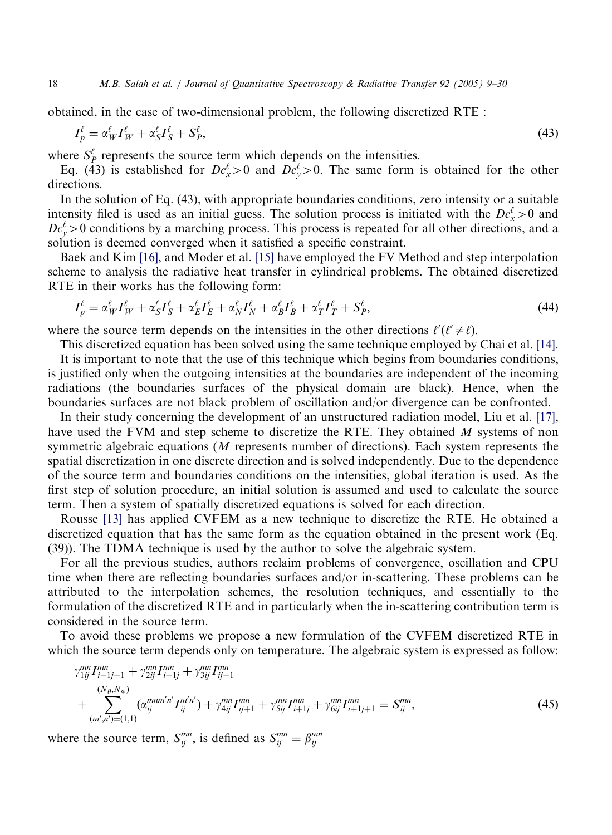obtained, in the case of two-dimensional problem, the following discretized RTE :

$$
I_p^{\ell} = \alpha_W^{\ell} I_W^{\ell} + \alpha_S^{\ell} I_S^{\ell} + S_P^{\ell},\tag{43}
$$

where  $S_P^{\ell}$  represents the source term which depends on the intensities.

Eq. (43) is established for  $Dc_x^{\ell} > 0$  and  $Dc_y^{\ell} > 0$ . The same form is obtained for the other directions.

In the solution of Eq. (43), with appropriate boundaries conditions, zero intensity or a suitable intensity filed is used as an initial guess. The solution process is initiated with the  $Dc_x^{\ell} > 0$  and  $Dc_y^{\ell} > 0$  conditions by a marching process. This process is repeated for all other directions, and a solution is deemed converged when it satisfied a specific constraint.

Baek and Kim [\[16\],](#page-20-0) and Moder et al. [\[15\]](#page-20-0) have employed the FV Method and step interpolation scheme to analysis the radiative heat transfer in cylindrical problems. The obtained discretized RTE in their works has the following form:

$$
I_p^{\ell} = \alpha_W^{\ell} I_W^{\ell} + \alpha_S^{\ell} I_S^{\ell} + \alpha_E^{\ell} I_E^{\ell} + \alpha_N^{\ell} I_N^{\ell} + \alpha_B^{\ell} I_B^{\ell} + \alpha_T^{\ell} I_T^{\ell} + S_P^{\ell},\tag{44}
$$

where the source term depends on the intensities in the other directions  $\ell'(\ell' \neq \ell)$ .

This discretized equation has been solved using the same technique employed by Chai et al. [\[14\].](#page-20-0) It is important to note that the use of this technique which begins from boundaries conditions,

is justified only when the outgoing intensities at the boundaries are independent of the incoming radiations (the boundaries surfaces of the physical domain are black). Hence, when the boundaries surfaces are not black problem of oscillation and/or divergence can be confronted.

In their study concerning the development of an unstructured radiation model, Liu et al. [\[17\],](#page-21-0) have used the FVM and step scheme to discretize the RTE. They obtained M systems of non symmetric algebraic equations (M represents number of directions). Each system represents the spatial discretization in one discrete direction and is solved independently. Due to the dependence of the source termand boundaries conditions on the intensities, global iteration is used. As the first step of solution procedure, an initial solution is assumed and used to calculate the source term. Then a system of spatially discretized equations is solved for each direction.

Rousse [\[13\]](#page-20-0) has applied CVFEM as a new technique to discretize the RTE. He obtained a discretized equation that has the same form as the equation obtained in the present work (Eq. (39)). The TDMA technique is used by the author to solve the algebraic system.

For all the previous studies, authors reclaim problems of convergence, oscillation and CPU time when there are reflecting boundaries surfaces and/or in-scattering. These problems can be attributed to the interpolation schemes, the resolution techniques, and essentially to the formulation of the discretized RTE and in particularly when the in-scattering contribution term is considered in the source term.

To avoid these problems we propose a new formulation of the CVFEM discretized RTE in which the source term depends only on temperature. The algebraic system is expressed as follow:

$$
\gamma_{1ij}^{mn} I_{i-1j-1}^{mn} + \gamma_{2ij}^{mn} I_{i-1j}^{mn} + \gamma_{3ij}^{mn} I_{ij-1}^{mn}
$$
\n
$$
+ \sum_{(m',n')=(1,1)}^{(N_{\theta},N_{\phi})} (\alpha_{ij}^{mnm'n'} I_{ij}^{m'n'}) + \gamma_{4ij}^{mn} I_{ij+1}^{mn} + \gamma_{5ij}^{mn} I_{i+1j}^{mn} + \gamma_{6ij}^{mn} I_{i+1j+1}^{mn} = S_{ij}^{mn},
$$
\n(45)

where the source term,  $S_{ij}^{mn}$ , is defined as  $S_{ij}^{mn} = \beta_{ij}^{mn}$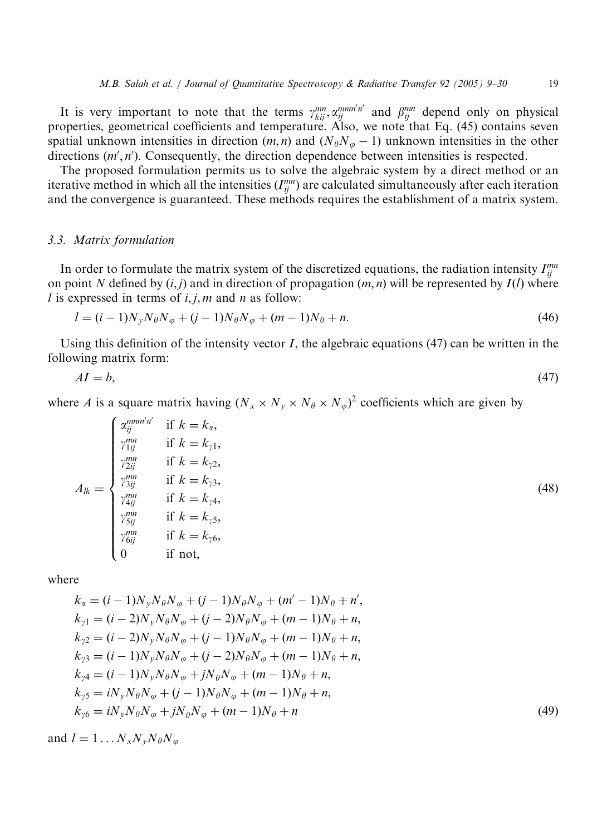It is very important to note that the terms  $\gamma_{kij}^{mn}$ ,  $\alpha_{ij}^{mmn'n'}$  and  $\beta_{ij}^{mn}$  depend only on physical properties, geometrical coefficients and temperature. Also, we note that Eq. (45) contains seven spatial unknown intensities in direction  $(m, n)$  and  $(N_{\theta}N_{\varphi} - 1)$  unknown intensities in the other directions  $(m', n')$ . Consequently, the direction dependence between intensities is respected.

The proposed formulation permits us to solve the algebraic system by a direct method or an iterative method in which all the intensities  $(I_{ij}^{mn})$  are calculated simultaneously after each iteration and the convergence is guaranteed. These methods requires the establishment of a matrix system.

#### 3.3. Matrix formulation

In order to formulate the matrix system of the discretized equations, the radiation intensity  $I_{ij}^{mn}$ on point N defined by  $(i, j)$  and in direction of propagation  $(m, n)$  will be represented by  $I(l)$  where l is expressed in terms of  $i, j, m$  and n as follow:

$$
l = (i - 1)N_y N_\theta N_\phi + (j - 1)N_\theta N_\phi + (m - 1)N_\theta + n.
$$
\n(46)

Using this definition of the intensity vector  $I$ , the algebraic equations (47) can be written in the following matrix form:

$$
AI = b,\tag{47}
$$

where A is a square matrix having  $(N_x \times N_y \times N_\theta \times N_\phi)^2$  coefficients which are given by

$$
A_{lk} = \begin{cases} \alpha_{ij}^{m m' n'} & \text{if } k = k_{\alpha}, \\ \gamma_{1ij}^{m m} & \text{if } k = k_{\gamma 1}, \\ \gamma_{2ij}^{m m} & \text{if } k = k_{\gamma 2}, \\ \gamma_{3ij}^{m m} & \text{if } k = k_{\gamma 3}, \\ \gamma_{4ij}^{m m} & \text{if } k = k_{\gamma 4}, \\ \gamma_{5ij}^{m m} & \text{if } k = k_{\gamma 5}, \\ \gamma_{6ij}^{m m} & \text{if } k = k_{\gamma 6}, \\ 0 & \text{if not,} \end{cases}
$$
(48)

where

$$
k_{\alpha} = (i - 1)N_{y}N_{\theta}N_{\phi} + (j - 1)N_{\theta}N_{\phi} + (m' - 1)N_{\theta} + n',
$$
  
\n
$$
k_{\gamma 1} = (i - 2)N_{y}N_{\theta}N_{\phi} + (j - 2)N_{\theta}N_{\phi} + (m - 1)N_{\theta} + n,
$$
  
\n
$$
k_{\gamma 2} = (i - 2)N_{y}N_{\theta}N_{\phi} + (j - 1)N_{\theta}N_{\phi} + (m - 1)N_{\theta} + n,
$$
  
\n
$$
k_{\gamma 3} = (i - 1)N_{y}N_{\theta}N_{\phi} + (j - 2)N_{\theta}N_{\phi} + (m - 1)N_{\theta} + n,
$$
  
\n
$$
k_{\gamma 4} = (i - 1)N_{y}N_{\theta}N_{\phi} + jN_{\theta}N_{\phi} + (m - 1)N_{\theta} + n,
$$
  
\n
$$
k_{\gamma 5} = iN_{y}N_{\theta}N_{\phi} + (j - 1)N_{\theta}N_{\phi} + (m - 1)N_{\theta} + n,
$$
  
\n
$$
k_{\gamma 6} = iN_{y}N_{\theta}N_{\phi} + jN_{\theta}N_{\phi} + (m - 1)N_{\theta} + n
$$
  
\n(49)

and  $l = 1 \dots N_x N_v N_\theta N_\omega$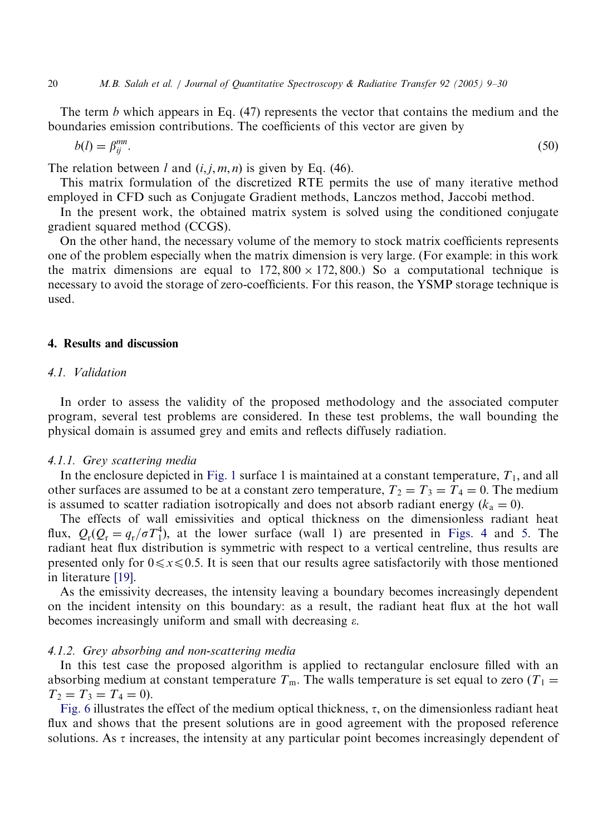The term b which appears in Eq.  $(47)$  represents the vector that contains the medium and the boundaries emission contributions. The coefficients of this vector are given by

$$
b(l) = \beta_{ij}^{mn}.\tag{50}
$$

The relation between l and  $(i, j, m, n)$  is given by Eq. (46).

This matrix formulation of the discretized RTE permits the use of many iterative method employed in CFD such as Conjugate Gradient methods, Lanczos method, Jaccobi method.

In the present work, the obtained matrix system is solved using the conditioned conjugate gradient squared method (CCGS).

On the other hand, the necessary volume of the memory to stock matrix coefficients represents one of the problem especially when the matrix dimension is very large. (For example: in this work the matrix dimensions are equal to  $172,800 \times 172,800$ .) So a computational technique is necessary to avoid the storage of zero-coefficients. For this reason, the YSMP storage technique is used.

## 4. Results and discussion

# 4.1. Validation

In order to assess the validity of the proposed methodology and the associated computer program, several test problems are considered. In these test problems, the wall bounding the physical domain is assumed grey and emits and reflects diffusely radiation.

#### 4.1.1. Grey scattering media

In the enclosure depicted in [Fig. 1](#page-2-0) surface 1 is maintained at a constant temperature,  $T_1$ , and all other surfaces are assumed to be at a constant zero temperature,  $T_2 = T_3 = T_4 = 0$ . The medium is assumed to scatter radiation isotropically and does not absorb radiant energy  $(k_a = 0)$ .

The effects of wall emissivities and optical thickness on the dimensionless radiant heat flux,  $Q_r(Q_r = q_r/\sigma T_1^4)$ , at the lower surface (wall 1) are presented in [Figs. 4](#page-12-0) and [5](#page-12-0). The radiant heat flux distribution is symmetric with respect to a vertical centreline, thus results are presented only for  $0 \le x \le 0.5$ . It is seen that our results agree satisfactorily with those mentioned in literature [\[19\]](#page-21-0).

As the emissivity decreases, the intensity leaving a boundary becomes increasingly dependent on the incident intensity on this boundary: as a result, the radiant heat flux at the hot wall becomes increasingly uniform and small with decreasing  $\varepsilon$ .

## 4.1.2. Grey absorbing and non-scattering media

In this test case the proposed algorithm is applied to rectangular enclosure filled with an absorbing medium at constant temperature  $T<sub>m</sub>$ . The walls temperature is set equal to zero  $(T<sub>1</sub> =$  $T_2 = T_3 = T_4 = 0.$ 

[Fig. 6](#page-13-0) illustrates the effect of the medium optical thickness,  $\tau$ , on the dimensionless radiant heat flux and shows that the present solutions are in good agreement with the proposed reference solutions. As  $\tau$  increases, the intensity at any particular point becomes increasingly dependent of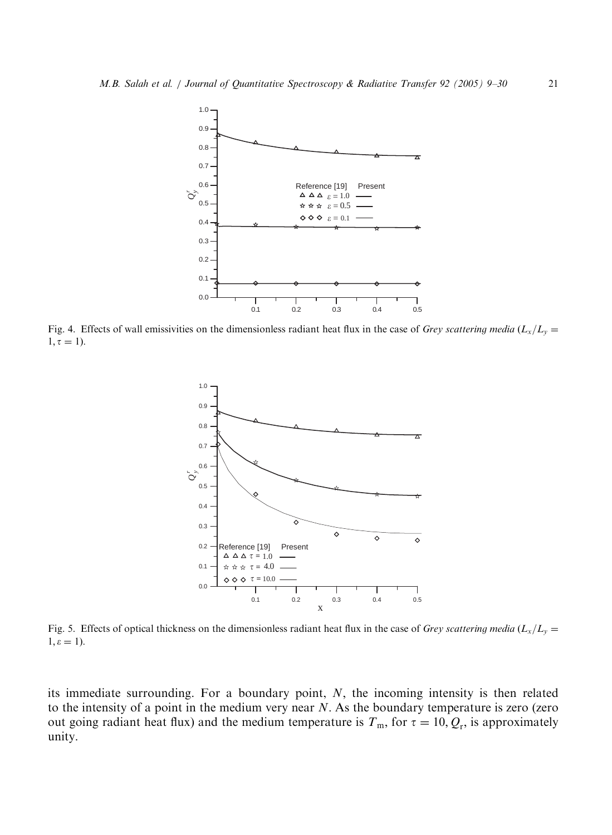<span id="page-12-0"></span>

Fig. 4. Effects of wall emissivities on the dimensionless radiant heat flux in the case of Grey scattering media  $(L_x/L_y=$  $1, \tau = 1$ ).



Fig. 5. Effects of optical thickness on the dimensionless radiant heat flux in the case of Grey scattering media  $(L_x/L_y=$  $1, \varepsilon = 1$ ).

its immediate surrounding. For a boundary point,  $N$ , the incoming intensity is then related to the intensity of a point in the medium very near  $N$ . As the boundary temperature is zero (zero out going radiant heat flux) and the medium temperature is  $T_m$ , for  $\tau = 10, Q_r$ , is approximately unity.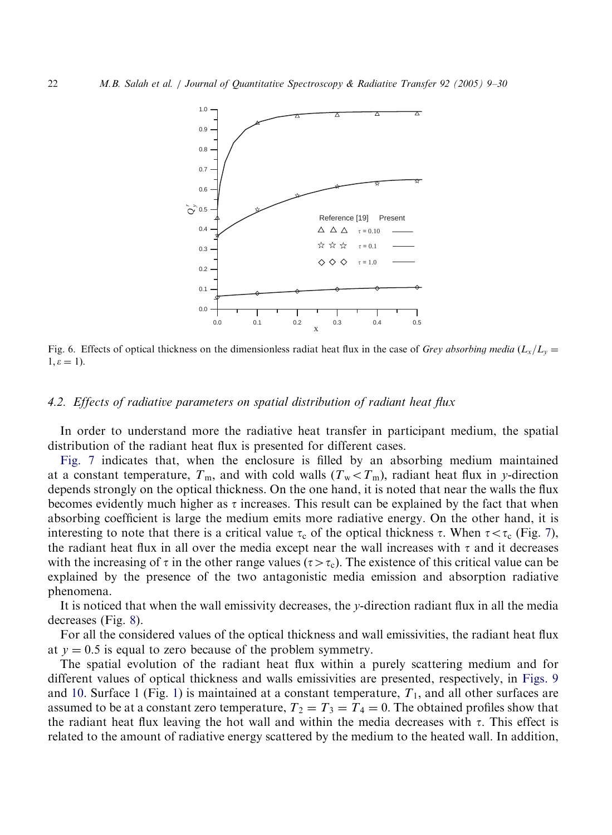<span id="page-13-0"></span>

Fig. 6. Effects of optical thickness on the dimensionless radiat heat flux in the case of Grey absorbing media  $(L_x/L_y=$  $1, \varepsilon = 1$ .

## 4.2. Effects of radiative parameters on spatial distribution of radiant heat flux

In order to understand more the radiative heat transfer in participant medium, the spatial distribution of the radiant heat flux is presented for different cases.

[Fig. 7](#page-14-0) indicates that, when the enclosure is filled by an absorbing medium maintained at a constant temperature,  $T_m$ , and with cold walls  $(T_w < T_m)$ , radiant heat flux in y-direction depends strongly on the optical thickness. On the one hand, it is noted that near the walls the flux becomes evidently much higher as  $\tau$  increases. This result can be explained by the fact that when absorbing coefficient is large the medium emits more radiative energy. On the other hand, it is interesting to note that there is a critical value  $\tau_c$  of the optical thickness  $\tau$ . When  $\tau < \tau_c$  (Fig. [7](#page-14-0)), the radiant heat flux in all over the media except near the wall increases with  $\tau$  and it decreases with the increasing of  $\tau$  in the other range values ( $\tau > \tau_c$ ). The existence of this critical value can be explained by the presence of the two antagonistic media emission and absorption radiative phenomena.

It is noticed that when the wall emissivity decreases, the y-direction radiant flux in all the media decreases (Fig. [8\)](#page-15-0).

For all the considered values of the optical thickness and wall emissivities, the radiant heat flux at  $y = 0.5$  is equal to zero because of the problem symmetry.

The spatial evolution of the radiant heat flux within a purely scattering medium and for different values of optical thickness and walls emissivities are presented, respectively, in [Figs. 9](#page-16-0) and [10](#page-17-0). Surface 1 (Fig. [1\)](#page-2-0) is maintained at a constant temperature,  $T_1$ , and all other surfaces are assumed to be at a constant zero temperature,  $T_2 = T_3 = T_4 = 0$ . The obtained profiles show that the radiant heat flux leaving the hot wall and within the media decreases with  $\tau$ . This effect is related to the amount of radiative energy scattered by the medium to the heated wall. In addition,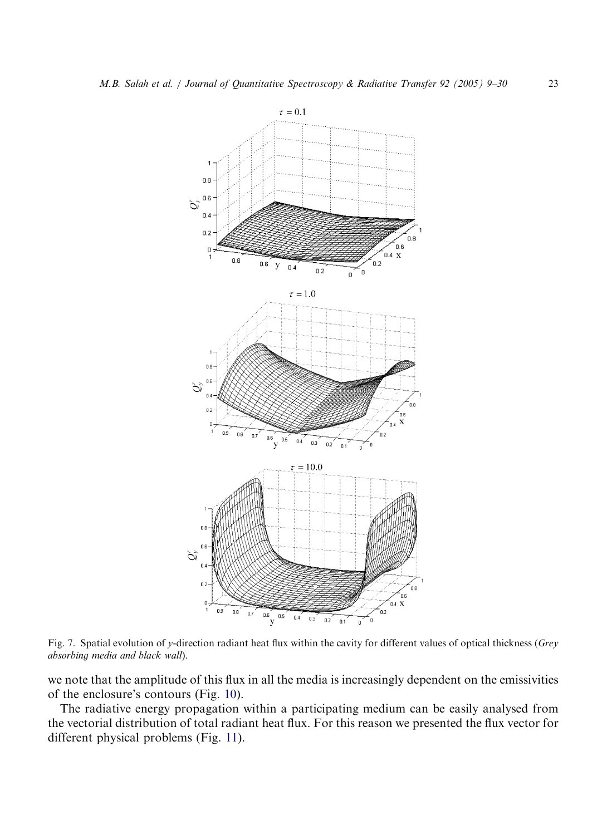<span id="page-14-0"></span>

Fig. 7. Spatial evolution of y-direction radiant heat flux within the cavity for different values of optical thickness (Grey absorbing media and black wall).

we note that the amplitude of this flux in all the media is increasingly dependent on the emissivities of the enclosure's contours (Fig. [10](#page-17-0)).

The radiative energy propagation within a participating medium can be easily analysed from the vectorial distribution of total radiant heat flux. For this reason we presented the flux vector for different physical problems (Fig. [11\)](#page-18-0).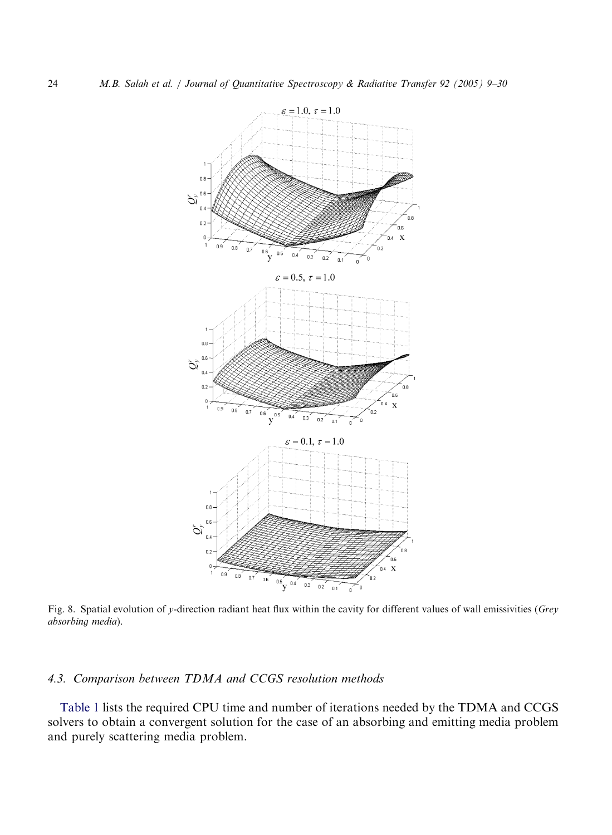<span id="page-15-0"></span>

Fig. 8. Spatial evolution of y-direction radiant heat flux within the cavity for different values of wall emissivities (Grey absorbing media).

# 4.3. Comparison between TDMA and CCGS resolution methods

[Table 1](#page-19-0) lists the required CPU time and number of iterations needed by the TDMA and CCGS solvers to obtain a convergent solution for the case of an absorbing and emitting media problem and purely scattering media problem.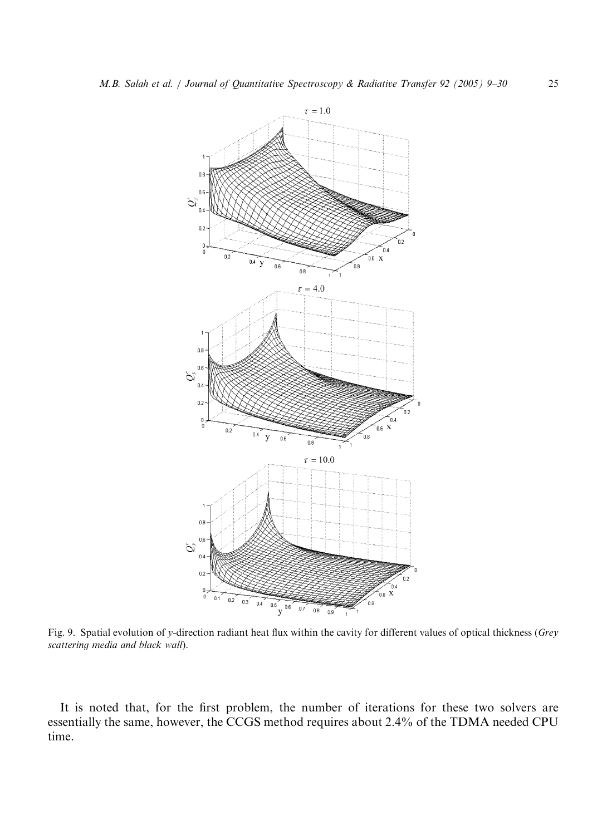<span id="page-16-0"></span>

Fig. 9. Spatial evolution of y-direction radiant heat flux within the cavity for different values of optical thickness (Grey scattering media and black wall).

It is noted that, for the first problem, the number of iterations for these two solvers are essentially the same, however, the CCGS method requires about 2.4% of the TDMA needed CPU time.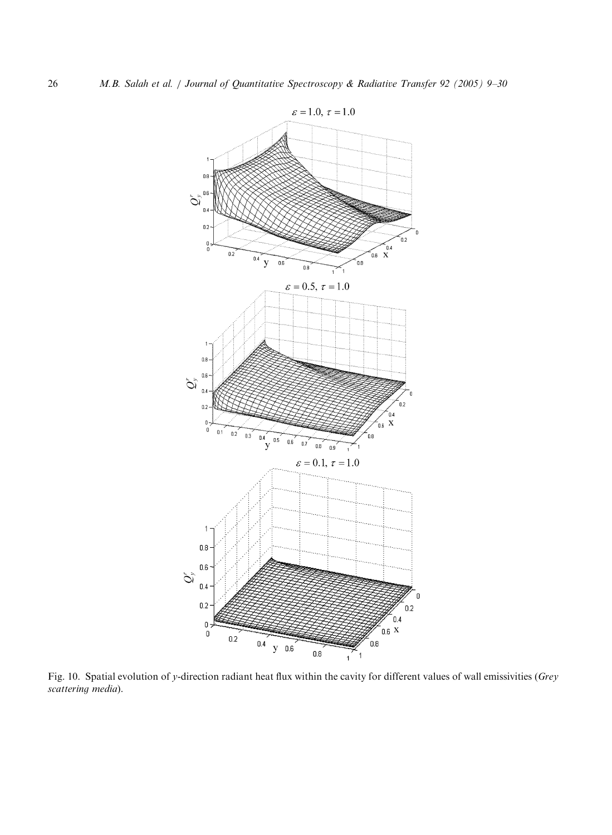<span id="page-17-0"></span>

Fig. 10. Spatial evolution of y-direction radiant heat flux within the cavity for different values of wall emissivities (Grey scattering media).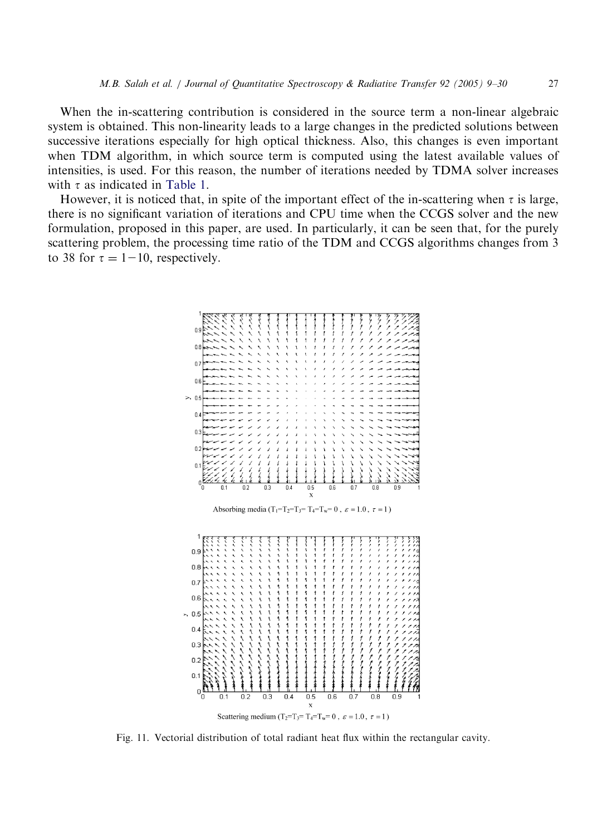<span id="page-18-0"></span>When the in-scattering contribution is considered in the source term a non-linear algebraic systemis obtained. This non-linearity leads to a large changes in the predicted solutions between successive iterations especially for high optical thickness. Also, this changes is even important when TDM algorithm, in which source term is computed using the latest available values of intensities, is used. For this reason, the number of iterations needed by TDMA solver increases with  $\tau$  as indicated in [Table 1](#page-19-0).

However, it is noticed that, in spite of the important effect of the in-scattering when  $\tau$  is large, there is no significant variation of iterations and CPU time when the CCGS solver and the new formulation, proposed in this paper, are used. In particularly, it can be seen that, for the purely scattering problem, the processing time ratio of the TDM and CCGS algorithms changes from 3 to 38 for  $\tau = 1 - 10$ , respectively.



Fig. 11. Vectorial distribution of total radiant heat flux within the rectangular cavity.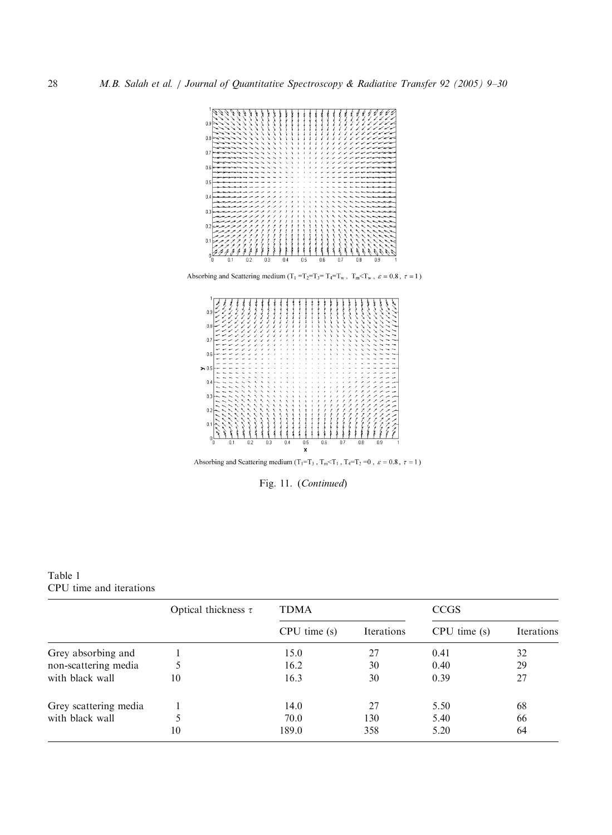<span id="page-19-0"></span>

Absorbing and Scattering medium (T<sub>1</sub> =<br>T<sub>2</sub>=T<sub>3</sub>= T<sub>4</sub>=T<sub>w</sub>, T<sub>m</sub><T<sub>w</sub>,  $\varepsilon = 0.8$ ,  $\tau = 1$ )



Absorbing and Scattering medium (T<sub>1</sub>=T<sub>3</sub> , T<sub>m</sub><T<sub>1</sub> , T<sub>4</sub>=T<sub>2</sub> =0 ,  $\varepsilon$  = 0.8 ,  $\tau$  = 1 )

Fig. 11. (Continued)

Table 1 CPU time and iterations

|                       | Optical thickness $\tau$ | <b>TDMA</b>      |            | <b>CCGS</b>      |            |
|-----------------------|--------------------------|------------------|------------|------------------|------------|
|                       |                          | $CPU$ time $(s)$ | Iterations | $CPU$ time $(s)$ | Iterations |
| Grey absorbing and    |                          | 15.0             | 27         | 0.41             | 32         |
| non-scattering media  |                          | 16.2             | 30         | 0.40             | 29         |
| with black wall       | 10                       | 16.3             | 30         | 0.39             | 27         |
| Grey scattering media |                          | 14.0             | 27         | 5.50             | 68         |
| with black wall       |                          | 70.0             | 130        | 5.40             | 66         |
|                       | 10                       | 189.0            | 358        | 5.20             | 64         |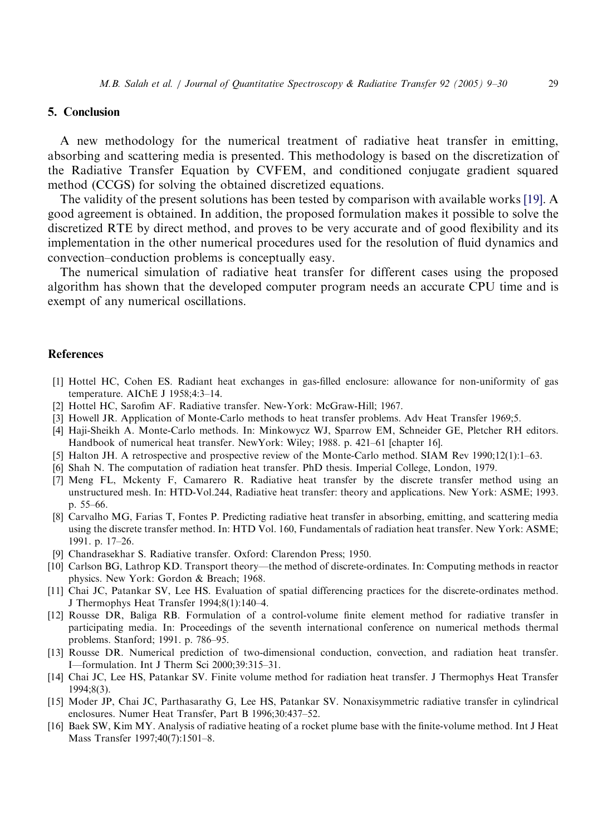## <span id="page-20-0"></span>5. Conclusion

A new methodology for the numerical treatment of radiative heat transfer in emitting, absorbing and scattering media is presented. This methodology is based on the discretization of the Radiative Transfer Equation by CVFEM, and conditioned conjugate gradient squared method (CCGS) for solving the obtained discretized equations.

The validity of the present solutions has been tested by comparison with available works [\[19\].](#page-21-0) A good agreement is obtained. In addition, the proposed formulation makes it possible to solve the discretized RTE by direct method, and proves to be very accurate and of good flexibility and its implementation in the other numerical procedures used for the resolution of fluid dynamics and convection–conduction problems is conceptually easy.

The numerical simulation of radiative heat transfer for different cases using the proposed algorithm has shown that the developed computer program needs an accurate CPU time and is exempt of any numerical oscillations.

## References

- [1] Hottel HC, Cohen ES. Radiant heat exchanges in gas-filled enclosure: allowance for non-uniformity of gas temperature. AIChE J 1958;4:3–14.
- [2] Hottel HC, SarofimAF. Radiative transfer. New-York: McGraw-Hill; 1967.
- [3] Howell JR. Application of Monte-Carlo methods to heat transfer problems. Adv Heat Transfer 1969;5.
- [4] Haji-Sheikh A. Monte-Carlo methods. In: Minkowycz WJ, Sparrow EM, Schneider GE, Pletcher RH editors. Handbook of numerical heat transfer. NewYork: Wiley; 1988. p. 421–61 [chapter 16].
- [5] Halton JH. A retrospective and prospective review of the Monte-Carlo method. SIAM Rev 1990;12(1):1–63.
- [6] Shah N. The computation of radiation heat transfer. PhD thesis. Imperial College, London, 1979.
- [7] Meng FL, Mckenty F, Camarero R. Radiative heat transfer by the discrete transfer method using an unstructured mesh. In: HTD-Vol.244, Radiative heat transfer: theory and applications. New York: ASME; 1993. p. 55–66.
- [8] Carvalho MG, Farias T, Fontes P. Predicting radiative heat transfer in absorbing, emitting, and scattering media using the discrete transfer method. In: HTD Vol. 160, Fundamentals of radiation heat transfer. New York: ASME; 1991. p. 17–26.
- [9] Chandrasekhar S. Radiative transfer. Oxford: Clarendon Press; 1950.
- [10] Carlson BG, Lathrop KD. Transport theory—the method of discrete-ordinates. In: Computing methods in reactor physics. New York: Gordon & Breach; 1968.
- [11] Chai JC, Patankar SV, Lee HS. Evaluation of spatial differencing practices for the discrete-ordinates method. J Thermophys Heat Transfer 1994;8(1):140–4.
- [12] Rousse DR, Baliga RB. Formulation of a control-volume finite element method for radiative transfer in participating media. In: Proceedings of the seventh international conference on numerical methods thermal problems. Stanford; 1991. p. 786–95.
- [13] Rousse DR. Numerical prediction of two-dimensional conduction, convection, and radiation heat transfer. I—formulation. Int J Therm Sci 2000;39:315–31.
- [14] Chai JC, Lee HS, Patankar SV. Finite volume method for radiation heat transfer. J Thermophys Heat Transfer 1994;8(3).
- [15] Moder JP, Chai JC, Parthasarathy G, Lee HS, Patankar SV. Nonaxisymmetric radiative transfer in cylindrical enclosures. Numer Heat Transfer, Part B 1996;30:437–52.
- [16] Baek SW, Kim MY. Analysis of radiative heating of a rocket plume base with the finite-volume method. Int J Heat Mass Transfer 1997;40(7):1501–8.